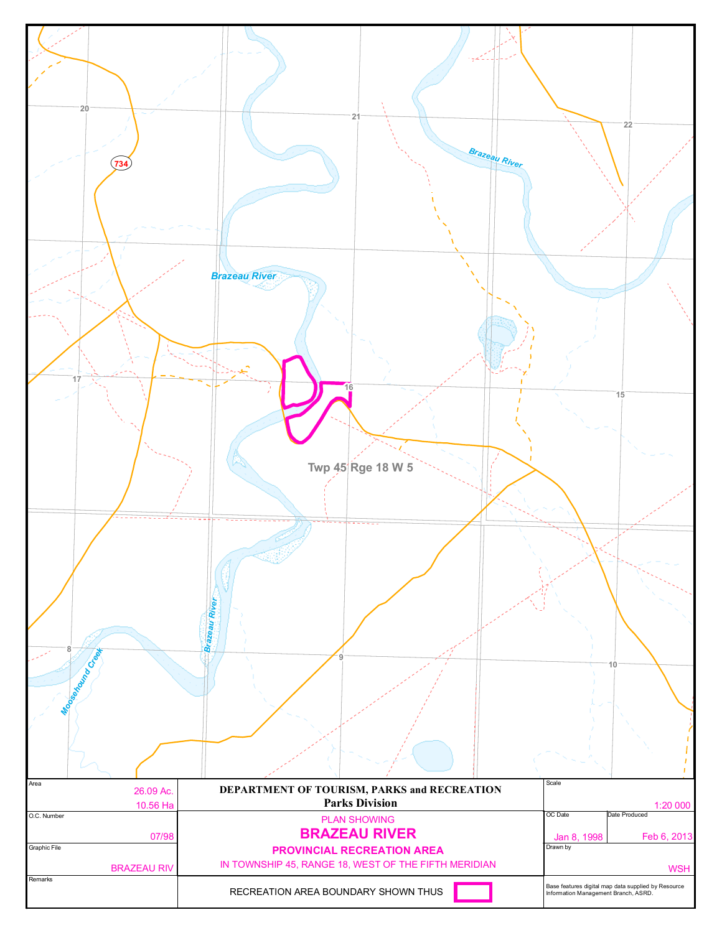